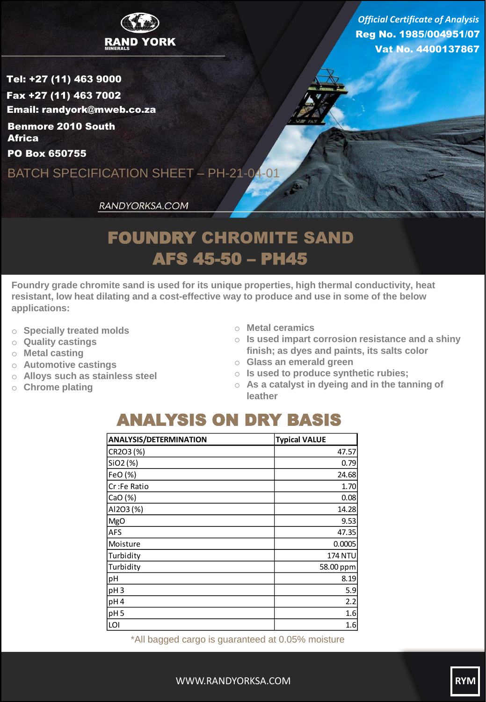

Reg No. 1985/004951/07 Vat No. 4400137867 *Official Certificate of Analysis*

Tel: +27 (11) 463 9000 Fax +27 (11) 463 7002 Email: randyork@mweb.co.za Benmore 2010 South **Africa** 

PO Box 650755

BATCH SPECIFICATION SHEET – PH-21-04-01

RANDYORKSA.COM

## FOUNDRY CHROMITE SAND AFS 45-50 – PH45

**Foundry grade chromite sand is used for its unique properties, high thermal conductivity, heat resistant, low heat dilating and a cost-effective way to produce and use in some of the below applications:**

- o **Specially treated molds**
- o **Quality castings**
- o **Metal casting**
- o **Automotive castings**
- o **Alloys such as stainless steel**
- o **Chrome plating**
- o **Metal ceramics**
- o **Is used impart corrosion resistance and a shiny finish; as dyes and paints, its salts color**
- o **Glass an emerald green**
- o **Is used to produce synthetic rubies;**
- o **As a catalyst in dyeing and in the tanning of leather**

## ANALYSIS ON DRY BASIS

| <b>ANALYSIS/DETERMINATION</b> | <b>Typical VALUE</b> |
|-------------------------------|----------------------|
| CR2O3 (%)                     | 47.57                |
| SiO2 (%)                      | 0.79                 |
| FeO (%)                       | 24.68                |
| Cr :Fe Ratio                  | 1.70                 |
| CaO (%)                       | 0.08                 |
| AI2O3 (%)                     | 14.28                |
| MgO                           | 9.53                 |
| AFS                           | 47.35                |
| Moisture                      | 0.0005               |
| Turbidity                     | 174 NTU              |
| Turbidity                     | 58.00 ppm            |
| pH                            | 8.19                 |
| pH <sub>3</sub>               | 5.9                  |
| pH <sub>4</sub>               | 2.2                  |
| pH <sub>5</sub>               | 1.6                  |
| LOI                           | 1.6                  |

\*All bagged cargo is guaranteed at 0.05% moisture